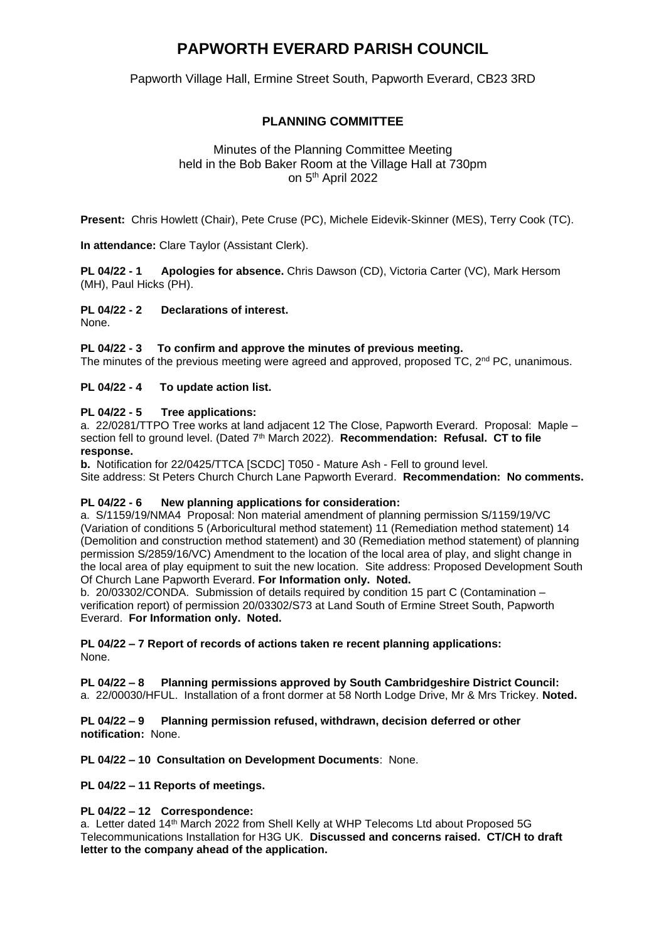# **PAPWORTH EVERARD PARISH COUNCIL**

Papworth Village Hall, Ermine Street South, Papworth Everard, CB23 3RD

# **PLANNING COMMITTEE**

## Minutes of the Planning Committee Meeting held in the Bob Baker Room at the Village Hall at 730pm on 5<sup>th</sup> April 2022

**Present:** Chris Howlett (Chair), Pete Cruse (PC), Michele Eidevik-Skinner (MES), Terry Cook (TC).

**In attendance:** Clare Taylor (Assistant Clerk).

**PL 04/22 - 1 Apologies for absence.** Chris Dawson (CD), Victoria Carter (VC), Mark Hersom (MH), Paul Hicks (PH).

### **PL 04/22 - 2 Declarations of interest.**

None.

#### **PL 04/22 - 3 To confirm and approve the minutes of previous meeting.**

The minutes of the previous meeting were agreed and approved, proposed TC, 2<sup>nd</sup> PC, unanimous.

#### **PL 04/22 - 4 To update action list.**

### **PL 04/22 - 5 Tree applications:**

a. 22/0281/TTPO Tree works at land adjacent 12 The Close, Papworth Everard. Proposal: Maple – section fell to ground level. (Dated 7<sup>th</sup> March 2022). **Recommendation: Refusal. CT to file response.**

**b.** Notification for 22/0425/TTCA [SCDC] T050 - Mature Ash - Fell to ground level. Site address: St Peters Church Church Lane Papworth Everard. **Recommendation: No comments.**

#### **PL 04/22 - 6 New planning applications for consideration:**

a. S/1159/19/NMA4 Proposal: Non material amendment of planning permission S/1159/19/VC (Variation of conditions 5 (Arboricultural method statement) 11 (Remediation method statement) 14 (Demolition and construction method statement) and 30 (Remediation method statement) of planning permission S/2859/16/VC) Amendment to the location of the local area of play, and slight change in the local area of play equipment to suit the new location. Site address: Proposed Development South Of Church Lane Papworth Everard. **For Information only. Noted.**

b. 20/03302/CONDA. Submission of details required by condition 15 part C (Contamination – verification report) of permission 20/03302/S73 at Land South of Ermine Street South, Papworth Everard. **For Information only. Noted.**

**PL 04/22 – 7 Report of records of actions taken re recent planning applications:**  None.

#### **PL 04/22 – 8 Planning permissions approved by South Cambridgeshire District Council:**

a. 22/00030/HFUL. Installation of a front dormer at 58 North Lodge Drive, Mr & Mrs Trickey. **Noted.**

#### **PL 04/22 – 9 Planning permission refused, withdrawn, decision deferred or other notification:** None.

**PL 04/22 – 10 Consultation on Development Documents**: None.

**PL 04/22 – 11 Reports of meetings.**

#### **PL 04/22 – 12 Correspondence:**

a. Letter dated 14th March 2022 from Shell Kelly at WHP Telecoms Ltd about Proposed 5G Telecommunications Installation for H3G UK. **Discussed and concerns raised. CT/CH to draft letter to the company ahead of the application.**